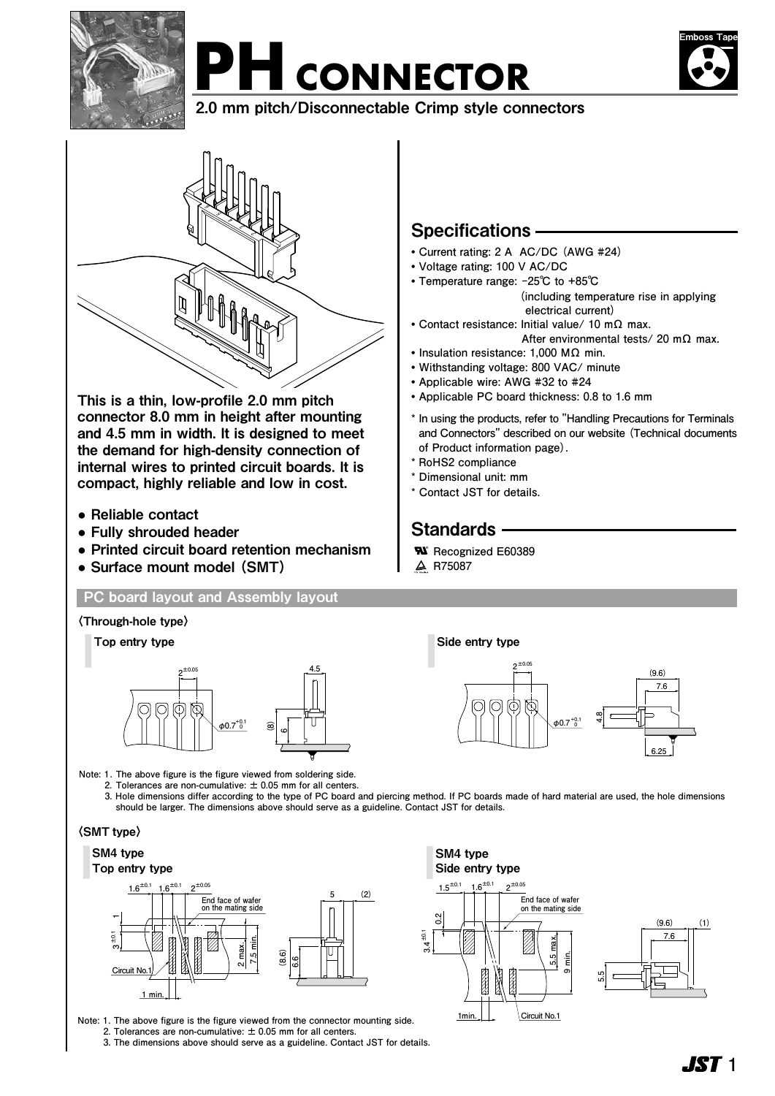

# PH CONNECTOR



2.0 mm pitch/Disconnectable Crimp style connectors



This is a thin, low-profile 2.0 mm pitch connector 8.0 mm in height after mounting and 4.5 mm in width. It is designed to meet the demand for high-density connection of internal wires to printed circuit boards. It is compact, highly reliable and low in cost.

- **●** Reliable contact
- **●** Fully shrouded header
- **●** Printed circuit board retention mechanism
- **●** Surface mount model (SMT)

#### **PC board layout and Assembly layout**

#### 〈Through-hole type〉 Top entry type Side entry type **±0.05 4.5 2** N  $\phi$ 0.7<sup>+0.1</sup> **(8) 0 6**



**5.5 max. 9 min.**

**5.5**

**Circuit No.1**

**End face of wafer on the mating side**

**Note: 1. The above figure is the figure viewed from soldering side.**

 **2. Tolerances are non-cumulative: ± 0.05 mm for all centers.**

 **3. Hole dimensions differ according to the type of PC board and piercing method. If PC boards made of hard material are used, the hole dimensions should be larger. The dimensions above should serve as a guideline. Contact JST for details.**

> **±0.1 3.4**

**0.2**

SM4 type Side entry type

**1min.**

 $1.5^{\pm0.1}$   $1.6^{\pm0.1}$   $2^{\pm0.05}$ 

#### 〈SMT type〉

#### SM4 type Top entry type



**Note: 1 . The above figure is the figure viewed from the connector mounting side.**

 **2. Tolerances are non-cumulative: ± 0.05 mm for all centers.**

**3. The dimensions above should serve as a guideline. Contact JST for details.** 

## Specifications

- **• Current rating: 2 A AC/DC (AWG #24)**
- **• Voltage rating: 100 V AC/DC**
- **• Temperature range: -25℃ to +85℃ (including temperature rise in applying electrical current)**
- **• Contact resistance: Initial value/ 10 mΩ max.**
- **After environmental tests/ 20 mΩ max.**
- **• Insulation resistance: 1,000 MΩ min.**
- **• Withstanding voltage: 800 VAC/ minute**
- **• Applicable wire: AWG #32 to #24**
- **• Applicable PC board thickness: 0.8 to 1.6 mm**
- **\* In using the products, refer to "Handling Precautions for Terminals and Connectors" described on our website (Technical documents of Product information page).**
- **\* RoHS2 compliance**
- **\* Dimensional unit: mm**
- **\* Contact JST for details.**

# Standards -

- **Recognized E60389 ®**
- **R75087**

**® ® ®**

**7.6 (9.6) (1)**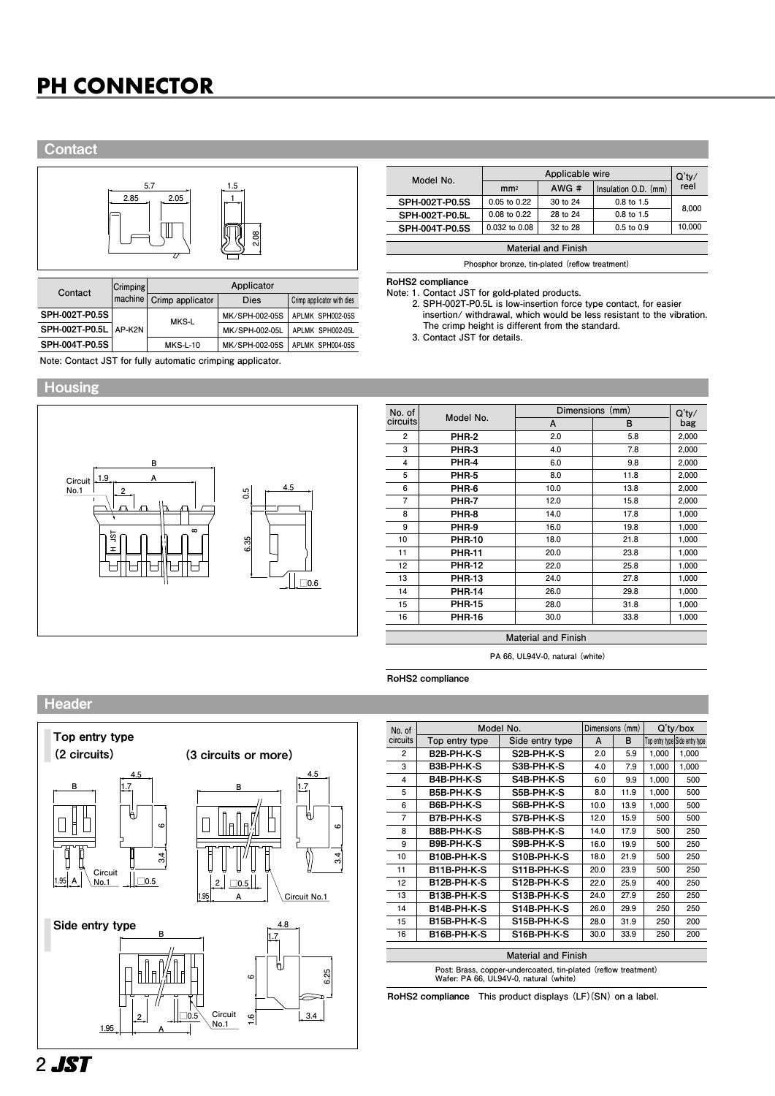# **PH CONNECTOR PH CONNECTOR**

#### **Contact**



| Contact | <b>Crimping</b>         |                  |                 |                            |                  |
|---------|-------------------------|------------------|-----------------|----------------------------|------------------|
|         | machine                 | Crimp applicator | Dies            | Crimp applicator with dies |                  |
|         | SPH-002T-P0.5S          |                  | MKS-L           | MK/SPH-002-05S             | APLMK SPH002-05S |
|         | SPH-002T-P0.5L   AP-K2N |                  |                 | MK/SPH-002-05L             | APLMK SPH002-05L |
|         | SPH-004T-P0.5S          |                  | <b>MKS-L-10</b> | MK/SPH-002-05S             | APLMK SPH004-05S |

**Note: Contact JST for fully automatic crimping applicator.**

#### **Housing**



| Model No.                  |                  | $Q'$ ty/ |                      |        |  |  |  |
|----------------------------|------------------|----------|----------------------|--------|--|--|--|
|                            | mm <sup>2</sup>  | AWG#     | Insulation O.D. (mm) | reel   |  |  |  |
| SPH-002T-P0.5S             | 0.05 to 0.22     | 30 to 24 | 0.8 to 1.5           |        |  |  |  |
| SPH-002T-P0.5L             | $0.08$ to $0.22$ | 28 to 24 | $0.8$ to $1.5$       | 8,000  |  |  |  |
| SPH-004T-P0.5S             | 0.032 to 0.08    | 32 to 28 | $0.5$ to $0.9$       | 10.000 |  |  |  |
|                            |                  |          |                      |        |  |  |  |
| <b>Material and Finish</b> |                  |          |                      |        |  |  |  |

**Phosphor bronze, tin-plated (reflow treatment)**

#### RoHS2 compliance

**Note: 1. Contact JST for gold-plated products.**

 **2. SPH-002T-P0.5L is low-insertion force type contact, for easier insertion/ withdrawal, which would be less resistant to the vibration. The crimp height is different from the standard.**

 **3. Contact JST for details.**

| No. of         |               | Dimensions (mm) | $Q'$ ty/ |       |
|----------------|---------------|-----------------|----------|-------|
| circuits       | Model No.     | A               | B        | bag   |
| $\overline{2}$ | <b>PHR-2</b>  | 2.0             | 5.8      | 2,000 |
| 3              | PHR-3         | 4.0             | 7.8      | 2,000 |
| 4              | PHR-4         | 6.0             | 9.8      | 2,000 |
| 5              | PHR-5         | 8.0             | 11.8     | 2,000 |
| 6              | PHR-6         | 10.0            | 13.8     | 2,000 |
| $\overline{7}$ | PHR-7         | 12.0            | 15.8     | 2,000 |
| 8              | PHR-8         | 14.0            | 17.8     | 1,000 |
| 9              | PHR-9         | 16.0            | 19.8     | 1,000 |
| 10             | <b>PHR-10</b> | 18.0            | 21.8     | 1,000 |
| 11             | <b>PHR-11</b> | 20.0            | 23.8     | 1,000 |
| 12             | <b>PHR-12</b> | 22.0            | 25.8     | 1,000 |
| 13             | <b>PHR-13</b> | 24.0            | 27.8     | 1,000 |
| 14             | <b>PHR-14</b> | 26.0            | 29.8     | 1,000 |
| 15             | <b>PHR-15</b> | 28.0            | 31.8     | 1,000 |
| 16             | <b>PHR-16</b> | 30.0            | 33.8     | 1,000 |
|                |               |                 |          |       |

**Material and Finish**

**PA 66, UL94V-0, natural (white)**

RoHS2 compliance

#### Header



| No. of                                                                                                   | Model No.         | Dimensions (mm) |      | $Q'$ ty/box |       |                                |
|----------------------------------------------------------------------------------------------------------|-------------------|-----------------|------|-------------|-------|--------------------------------|
| circuits                                                                                                 | Top entry type    | Side entry type | A    | в           |       | Top entry type Side entry type |
| $\overline{c}$                                                                                           | B2B PH K S        | S2B-PH-K-S      | 2.0  | 5.9         | 1,000 | 1,000                          |
| 3                                                                                                        | B3B-PH-K-S        | S3B PH-K-S      | 4.0  | 7.9         | 1,000 | 1,000                          |
| 4                                                                                                        | B4B-PH-K-S        | S4B-PH-K-S      | 6.0  | 9.9         | 1,000 | 500                            |
| 5                                                                                                        | B5B-PH-K-S        | S5B-PH-K-S      | 8.0  | 11.9        | 1,000 | 500                            |
| 6                                                                                                        | <b>B6B PH K S</b> | S6B PH K S      | 10.0 | 13.9        | 1,000 | 500                            |
| 7                                                                                                        | B7B-PH-K-S        | S7B PH K-S      | 12.0 | 15.9        | 500   | 500                            |
| 8                                                                                                        | B8B-PH-K-S        | S8B-PH-K-S      | 14.0 | 17.9        | 500   | 250                            |
| 9                                                                                                        | <b>B9B PH K S</b> | S9B PH K S      | 16.0 | 19.9        | 500   | 250                            |
| 10                                                                                                       | B10B-PH-K-S       | S10B-PH-K-S     | 18.0 | 21.9        | 500   | 250                            |
| 11                                                                                                       | B11B-PH-K-S       | S11B PH K S     | 20.0 | 23.9        | 500   | 250                            |
| 12                                                                                                       | B12B-PH K-S       | S12B-PH-K-S     | 22.0 | 25.9        | 400   | 250                            |
| 13                                                                                                       | B13B-PH-K-S       | S13B-PH-K-S     | 24.0 | 27.9        | 250   | 250                            |
| 14                                                                                                       | B14B-PH-K-S       | S14B-PH-K-S     | 26.0 | 29.9        | 250   | 250                            |
| 15                                                                                                       | B15B PH K S       | S15B-PH-K-S     | 28.0 | 31.9        | 250   | 200                            |
| 16                                                                                                       | B16B-PH-K-S       | S16B-PH-K-S     | 30.0 | 33.9        | 250   | 200                            |
| <b>Material and Finish</b>                                                                               |                   |                 |      |             |       |                                |
| Post: Brass, copper-undercoated, tin-plated (reflow treatment)<br>Wafer: PA 66, UL94V-0, natural (white) |                   |                 |      |             |       |                                |

RoHS2 compliance **This product displays (LF)(SN) on a label.**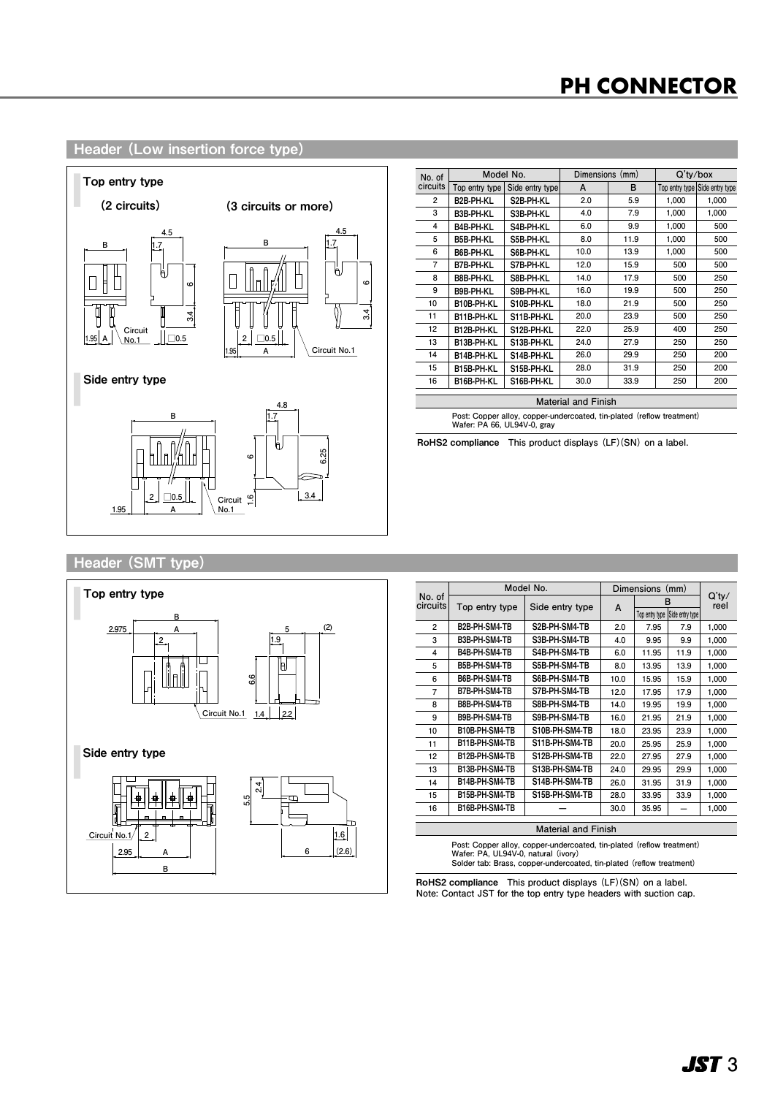# **PH CONNECTOR PH CONNECTOR PH CONNECTORPH CONNECTOR**

#### **Header (Low insertion force type)**



| No. of                     |                             | Model No.                                                             | Dimensions (mm) |      | $Q'$ ty/box |                                |
|----------------------------|-----------------------------|-----------------------------------------------------------------------|-----------------|------|-------------|--------------------------------|
| circuits                   | Top entry type              | Side entry type                                                       | A               | B    |             | Top entry type Side entry type |
| 2                          | B <sub>2</sub> B-PH-KL      | S2B-PH-KL                                                             | 2.0             | 5.9  | 1,000       | 1,000                          |
| 3                          | B3B-PH-KL                   | S3B-PH-KL                                                             | 4.0             | 7.9  | 1,000       | 1,000                          |
| 4                          | B4B-PH-KL                   | S4B-PH-KL                                                             | 6.0             | 9.9  | 1,000       | 500                            |
| 5                          | <b>B5B-PH-KL</b>            | S5B-PH-KL                                                             | 8.0             | 11.9 | 1,000       | 500                            |
| 6                          | B6B-PH-KL                   | S6B-PH-KL                                                             | 10.0            | 13.9 | 1,000       | 500                            |
| 7                          | B7B-PH-KL                   | S7B-PH-KL                                                             | 12.0            | 15.9 | 500         | 500                            |
| 8                          | B8B-PH-KL                   | S8B-PH-KL                                                             | 14.0            | 17.9 | 500         | 250                            |
| 9                          | B9B-PH-KL                   | S9B-PH-KL                                                             | 16.0            | 19.9 | 500         | 250                            |
| 10                         | B10B PH KL                  | S10B-PH-KL                                                            | 18.0            | 21.9 | 500         | 250                            |
| 11                         | B11B-PH-KL                  | S11B-PH-KL                                                            | 20.0            | 23.9 | 500         | 250                            |
| 12                         | B12B-PH-KL                  | S12B-PH-KL                                                            | 22.0            | 25.9 | 400         | 250                            |
| 13                         | <b>B13B PH KL</b>           | S13B-PH-KL                                                            | 24.0            | 27.9 | 250         | 250                            |
| 14                         | B14B-PH-KL                  | S14B-PH-KL                                                            | 26.0            | 29.9 | 250         | 200                            |
| 15                         | B15B-PH-KL                  | S15B-PH-KL                                                            | 28.0            | 31.9 | 250         | 200                            |
| 16                         | B16B-PH-KL                  | S16B-PH-KL                                                            | 30.0            | 33.9 | 250         | 200                            |
| <b>Material and Finish</b> |                             |                                                                       |                 |      |             |                                |
|                            | Wafer: PA 66, UL94V-0, gray | Post: Copper alloy, copper-undercoated, tin-plated (reflow treatment) |                 |      |             |                                |

RoHS2 compliance **This product displays (LF)(SN) on a label.**

#### Header (SMT type)



| No. of<br>circuits<br>2    | Top entry type       |                 |      |                |                 |                  |
|----------------------------|----------------------|-----------------|------|----------------|-----------------|------------------|
|                            |                      |                 | A    | в              |                 | $Q'$ ty/<br>reel |
|                            |                      | Side entry type |      | Top entry type | Side entry type |                  |
|                            | B2B-PH-SM4-TB        | S2B-PH-SM4-TB   | 2.0  | 7.95           | 7.9             | 1,000            |
| 3                          | B3B-PH-SM4-TB        | S3B-PH-SM4-TB   | 4.0  | 9.95           | 9.9             | 1,000            |
| 4                          | <b>B4B-PH-SM4-TB</b> | S4B-PH-SM4-TB   | 6.0  | 11.95          | 11.9            | 1,000            |
| 5                          | B5B-PH-SM4-TB        | S5B-PH-SM4-TB   | 8.0  | 13.95          | 13.9            | 1,000            |
| 6                          | B6B-PH-SM4-TB        | S6B-PH-SM4-TB   | 10.0 | 15.95          | 15.9            | 1,000            |
| 7                          | <b>B7B-PH-SM4-TB</b> | S7B-PH-SM4-TB   | 12.0 | 17.95          | 17.9            | 1,000            |
| 8                          | B8B-PH-SM4-TB        | S8B-PH-SM4-TB   | 14.0 | 19.95          | 19.9            | 1,000            |
| 9                          | B9B-PH-SM4-TB        | S9B-PH-SM4-TB   | 16.0 | 21.95          | 21.9            | 1,000            |
| 10                         | B10B-PH-SM4-TB       | S10B-PH-SM4-TB  | 18.0 | 23.95          | 23.9            | 1,000            |
| 11                         | B11B-PH-SM4-TB       | S11B-PH-SM4-TB  | 20.0 | 25.95          | 25.9            | 1,000            |
| 12                         | B12B-PH-SM4-TB       | S12B-PH-SM4-TB  | 22.0 | 27.95          | 27.9            | 1,000            |
| 13                         | B13B-PH-SM4-TB       | S13B-PH-SM4-TB  | 24.0 | 29.95          | 29.9            | 1,000            |
| 14                         | B14B-PH-SM4-TB       | S14B-PH-SM4-TB  | 26.0 | 31.95          | 31.9            | 1,000            |
| 15                         | B15B-PH-SM4-TB       | S15B-PH-SM4-TB  | 28.0 | 33.95          | 33.9            | 1,000            |
| 16                         | B16B-PH-SM4-TB       |                 | 30.0 | 35.95          |                 | 1,000            |
| <b>Material and Finish</b> |                      |                 |      |                |                 |                  |

**Post: Copper alloy, copper-undercoated, tin-plated (reflow treatment) Wafer: PA, UL94V-0, natural (ivory) Solder tab: Brass, copper-undercoated, tin-plated (reflow treatment)**

RoHS2 compliance **This product displays (LF)(SN) on a label. Note: Contact JST for the top entry type headers with suction cap.**